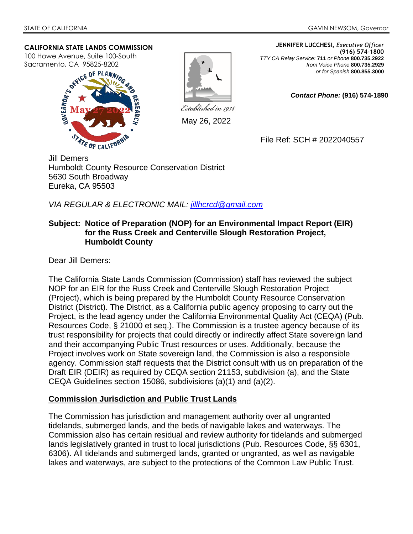#### **CALIFORNIA STATE LANDS COMMISSION**

100 Howe Avenue, Suite 100-South





May 26, 2022

**JENNIFER LUCCHESI,** *Executive Officer* **(916) 574-1800**  *TTY CA Relay Service:* **711** *or Phone* **800.735.2922** *from Voice Phone* **800.735.2929**  *or for Spanish* **800.855.3000**

*Contact Phone:* **(916) 574-1890**

File Ref: SCH # 2022040557

Jill Demers Humboldt County Resource Conservation District 5630 South Broadway Eureka, CA 95503

*VIA REGULAR & ELECTRONIC MAIL: jillhcrcd@gmail.com*

### **Subject: Notice of Preparation (NOP) for an Environmental Impact Report (EIR) for the Russ Creek and Centerville Slough Restoration Project, Humboldt County**

Dear Jill Demers:

The California State Lands Commission (Commission) staff has reviewed the subject NOP for an EIR for the Russ Creek and Centerville Slough Restoration Project (Project), which is being prepared by the Humboldt County Resource Conservation District (District). The District, as a California public agency proposing to carry out the Project, is the lead agency under the California Environmental Quality Act (CEQA) (Pub. Resources Code, § 21000 et seq.). The Commission is a trustee agency because of its trust responsibility for projects that could directly or indirectly affect State sovereign land and their accompanying Public Trust resources or uses. Additionally, because the Project involves work on State sovereign land, the Commission is also a responsible agency. Commission staff requests that the District consult with us on preparation of the Draft EIR (DEIR) as required by CEQA section 21153, subdivision (a), and the State CEQA Guidelines section 15086, subdivisions (a)(1) and (a)(2).

#### **Commission Jurisdiction and Public Trust Lands**

The Commission has jurisdiction and management authority over all ungranted tidelands, submerged lands, and the beds of navigable lakes and waterways. The Commission also has certain residual and review authority for tidelands and submerged lands legislatively granted in trust to local jurisdictions (Pub. Resources Code, §§ 6301, 6306). All tidelands and submerged lands, granted or ungranted, as well as navigable lakes and waterways, are subject to the protections of the Common Law Public Trust.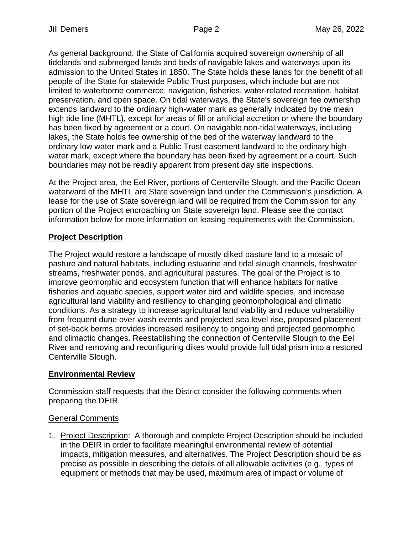As general background, the State of California acquired sovereign ownership of all tidelands and submerged lands and beds of navigable lakes and waterways upon its admission to the United States in 1850. The State holds these lands for the benefit of all people of the State for statewide Public Trust purposes, which include but are not limited to waterborne commerce, navigation, fisheries, water-related recreation, habitat preservation, and open space. On tidal waterways, the State's sovereign fee ownership extends landward to the ordinary high-water mark as generally indicated by the mean high tide line (MHTL), except for areas of fill or artificial accretion or where the boundary has been fixed by agreement or a court. On navigable non-tidal waterways, including lakes, the State holds fee ownership of the bed of the waterway landward to the ordinary low water mark and a Public Trust easement landward to the ordinary highwater mark, except where the boundary has been fixed by agreement or a court. Such boundaries may not be readily apparent from present day site inspections.

At the Project area, the Eel River, portions of Centerville Slough, and the Pacific Ocean waterward of the MHTL are State sovereign land under the Commission's jurisdiction. A lease for the use of State sovereign land will be required from the Commission for any portion of the Project encroaching on State sovereign land. Please see the contact information below for more information on leasing requirements with the Commission.

# **Project Description**

The Project would restore a landscape of mostly diked pasture land to a mosaic of pasture and natural habitats, including estuarine and tidal slough channels, freshwater streams, freshwater ponds, and agricultural pastures. The goal of the Project is to improve geomorphic and ecosystem function that will enhance habitats for native fisheries and aquatic species, support water bird and wildlife species, and increase agricultural land viability and resiliency to changing geomorphological and climatic conditions. As a strategy to increase agricultural land viability and reduce vulnerability from frequent dune over-wash events and projected sea level rise, proposed placement of set-back berms provides increased resiliency to ongoing and projected geomorphic and climactic changes. Reestablishing the connection of Centerville Slough to the Eel River and removing and reconfiguring dikes would provide full tidal prism into a restored Centerville Slough.

# **Environmental Review**

Commission staff requests that the District consider the following comments when preparing the DEIR.

# General Comments

1. Project Description: A thorough and complete Project Description should be included in the DEIR in order to facilitate meaningful environmental review of potential impacts, mitigation measures, and alternatives. The Project Description should be as precise as possible in describing the details of all allowable activities (e.g., types of equipment or methods that may be used, maximum area of impact or volume of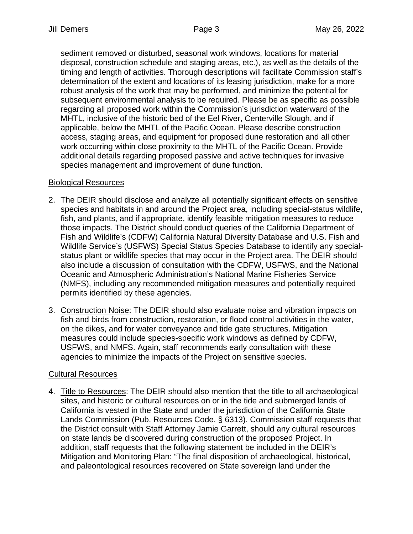sediment removed or disturbed, seasonal work windows, locations for material disposal, construction schedule and staging areas, etc.), as well as the details of the timing and length of activities. Thorough descriptions will facilitate Commission staff's determination of the extent and locations of its leasing jurisdiction, make for a more robust analysis of the work that may be performed, and minimize the potential for subsequent environmental analysis to be required. Please be as specific as possible regarding all proposed work within the Commission's jurisdiction waterward of the MHTL, inclusive of the historic bed of the Eel River, Centerville Slough, and if applicable, below the MHTL of the Pacific Ocean. Please describe construction access, staging areas, and equipment for proposed dune restoration and all other work occurring within close proximity to the MHTL of the Pacific Ocean. Provide additional details regarding proposed passive and active techniques for invasive species management and improvement of dune function.

### Biological Resources

- 2. The DEIR should disclose and analyze all potentially significant effects on sensitive species and habitats in and around the Project area, including special-status wildlife, fish, and plants, and if appropriate, identify feasible mitigation measures to reduce those impacts. The District should conduct queries of the California Department of Fish and Wildlife's (CDFW) California Natural Diversity Database and U.S. Fish and Wildlife Service's (USFWS) Special Status Species Database to identify any specialstatus plant or wildlife species that may occur in the Project area. The DEIR should also include a discussion of consultation with the CDFW, USFWS, and the National Oceanic and Atmospheric Administration's National Marine Fisheries Service (NMFS), including any recommended mitigation measures and potentially required permits identified by these agencies.
- 3. Construction Noise: The DEIR should also evaluate noise and vibration impacts on fish and birds from construction, restoration, or flood control activities in the water, on the dikes, and for water conveyance and tide gate structures. Mitigation measures could include species-specific work windows as defined by CDFW, USFWS, and NMFS. Again, staff recommends early consultation with these agencies to minimize the impacts of the Project on sensitive species.

# Cultural Resources

4. Title to Resources: The DEIR should also mention that the title to all archaeological sites, and historic or cultural resources on or in the tide and submerged lands of California is vested in the State and under the jurisdiction of the California State Lands Commission (Pub. Resources Code, § 6313). Commission staff requests that the District consult with Staff Attorney Jamie Garrett, should any cultural resources on state lands be discovered during construction of the proposed Project. In addition, staff requests that the following statement be included in the DEIR's Mitigation and Monitoring Plan: "The final disposition of archaeological, historical, and paleontological resources recovered on State sovereign land under the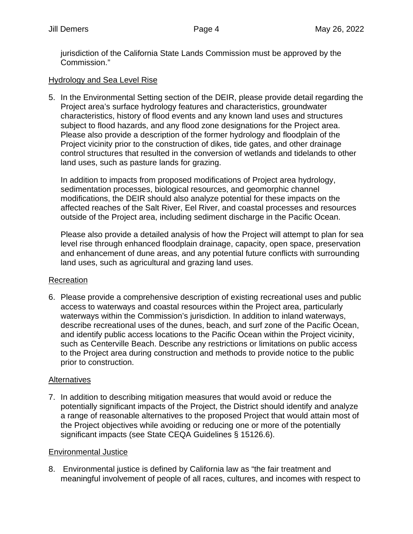jurisdiction of the California State Lands Commission must be approved by the Commission."

# Hydrology and Sea Level Rise

5. In the Environmental Setting section of the DEIR, please provide detail regarding the Project area's surface hydrology features and characteristics, groundwater characteristics, history of flood events and any known land uses and structures subject to flood hazards, and any flood zone designations for the Project area. Please also provide a description of the former hydrology and floodplain of the Project vicinity prior to the construction of dikes, tide gates, and other drainage control structures that resulted in the conversion of wetlands and tidelands to other land uses, such as pasture lands for grazing.

In addition to impacts from proposed modifications of Project area hydrology, sedimentation processes, biological resources, and geomorphic channel modifications, the DEIR should also analyze potential for these impacts on the affected reaches of the Salt River, Eel River, and coastal processes and resources outside of the Project area, including sediment discharge in the Pacific Ocean.

Please also provide a detailed analysis of how the Project will attempt to plan for sea level rise through enhanced floodplain drainage, capacity, open space, preservation and enhancement of dune areas, and any potential future conflicts with surrounding land uses, such as agricultural and grazing land uses.

### Recreation

6. Please provide a comprehensive description of existing recreational uses and public access to waterways and coastal resources within the Project area, particularly waterways within the Commission's jurisdiction. In addition to inland waterways, describe recreational uses of the dunes, beach, and surf zone of the Pacific Ocean, and identify public access locations to the Pacific Ocean within the Project vicinity, such as Centerville Beach. Describe any restrictions or limitations on public access to the Project area during construction and methods to provide notice to the public prior to construction.

### Alternatives

7. In addition to describing mitigation measures that would avoid or reduce the potentially significant impacts of the Project, the District should identify and analyze a range of reasonable alternatives to the proposed Project that would attain most of the Project objectives while avoiding or reducing one or more of the potentially significant impacts (see State CEQA Guidelines § 15126.6).

### Environmental Justice

8. Environmental justice is defined by California law as "the fair treatment and meaningful involvement of people of all races, cultures, and incomes with respect to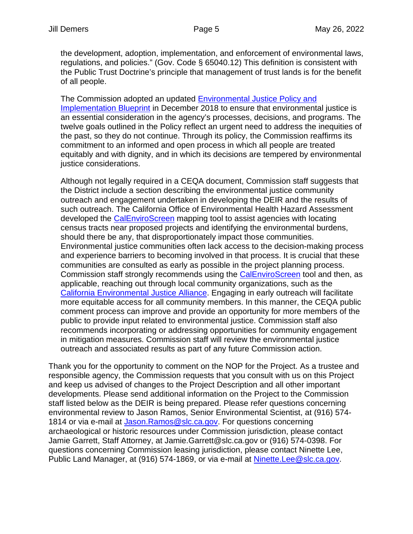the development, adoption, implementation, and enforcement of environmental laws, regulations, and policies." (Gov. Code § 65040.12) This definition is consistent with the Public Trust Doctrine's principle that management of trust lands is for the benefit of all people.

The Commission adopted an updated Environmental Justice Policy and Implementation Blueprint in December 2018 to ensure that environmental justice is an essential consideration in the agency's processes, decisions, and programs. The twelve goals outlined in the Policy reflect an urgent need to address the inequities of the past, so they do not continue. Through its policy, the Commission reaffirms its commitment to an informed and open process in which all people are treated equitably and with dignity, and in which its decisions are tempered by environmental justice considerations.

Although not legally required in a CEQA document, Commission staff suggests that the District include a section describing the environmental justice community outreach and engagement undertaken in developing the DEIR and the results of such outreach. The California Office of Environmental Health Hazard Assessment developed the CalEnviroScreen mapping tool to assist agencies with locating census tracts near proposed projects and identifying the environmental burdens, should there be any, that disproportionately impact those communities. Environmental justice communities often lack access to the decision-making process and experience barriers to becoming involved in that process. It is crucial that these communities are consulted as early as possible in the project planning process. Commission staff strongly recommends using the CalEnviroScreen tool and then, as applicable, reaching out through local community organizations, such as the California Environmental Justice Alliance. Engaging in early outreach will facilitate more equitable access for all community members. In this manner, the CEQA public comment process can improve and provide an opportunity for more members of the public to provide input related to environmental justice. Commission staff also recommends incorporating or addressing opportunities for community engagement in mitigation measures. Commission staff will review the environmental justice outreach and associated results as part of any future Commission action.

Thank you for the opportunity to comment on the NOP for the Project. As a trustee and responsible agency, the Commission requests that you consult with us on this Project and keep us advised of changes to the Project Description and all other important developments. Please send additional information on the Project to the Commission staff listed below as the DEIR is being prepared. Please refer questions concerning environmental review to Jason Ramos, Senior Environmental Scientist, at (916) 574- 1814 or via e-mail at Jason.Ramos@slc.ca.gov. For questions concerning archaeological or historic resources under Commission jurisdiction, please contact Jamie Garrett, Staff Attorney, at Jamie.Garrett@slc.ca.gov or (916) 574-0398. For questions concerning Commission leasing jurisdiction, please contact Ninette Lee, Public Land Manager, at (916) 574-1869, or via e-mail at Ninette.Lee@slc.ca.gov.